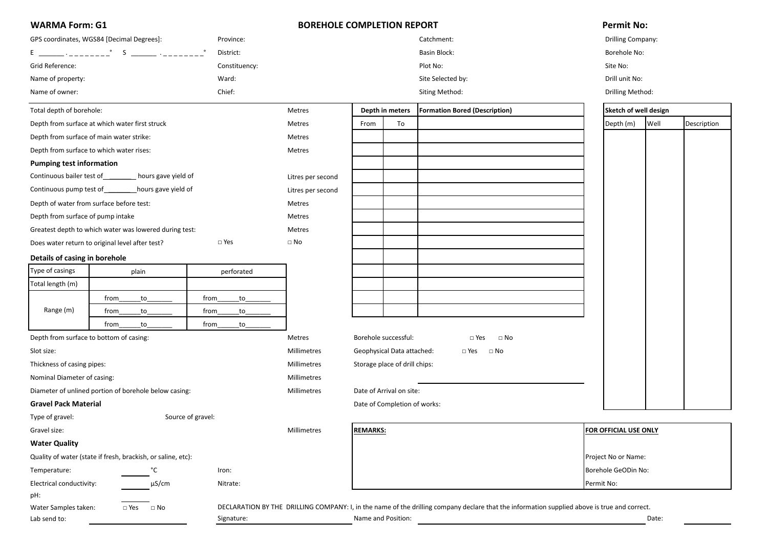| <b>WARMA Form: G1</b><br>GPS coordinates, WGS84 [Decimal Degrees]:<br>Province:<br>District: |                                                              |                   | <b>BOREHOLE COMPLETION REPORT</b> |                                                          |                              | <b>Permit No:</b>                                                                                                                            |  |                              |       |             |
|----------------------------------------------------------------------------------------------|--------------------------------------------------------------|-------------------|-----------------------------------|----------------------------------------------------------|------------------------------|----------------------------------------------------------------------------------------------------------------------------------------------|--|------------------------------|-------|-------------|
|                                                                                              |                                                              |                   |                                   |                                                          |                              | Catchment:                                                                                                                                   |  | Drilling Company:            |       |             |
|                                                                                              |                                                              |                   |                                   |                                                          | Borehole No:                 |                                                                                                                                              |  |                              |       |             |
| Grid Reference:                                                                              |                                                              | Constituency:     |                                   |                                                          |                              | Plot No:                                                                                                                                     |  | Site No:                     |       |             |
| Name of property:                                                                            |                                                              | Ward:             |                                   |                                                          |                              | Site Selected by:                                                                                                                            |  | Drill unit No:               |       |             |
| Name of owner:                                                                               |                                                              | Chief:            |                                   |                                                          |                              | Siting Method:                                                                                                                               |  | Drilling Method:             |       |             |
| Total depth of borehole:                                                                     |                                                              |                   | Metres                            |                                                          | Depth in meters              | <b>Formation Bored (Description)</b>                                                                                                         |  | Sketch of well design        |       |             |
|                                                                                              | Depth from surface at which water first struck               |                   | Metres                            | From                                                     | To                           |                                                                                                                                              |  | Depth (m)                    | Well  | Description |
|                                                                                              | Depth from surface of main water strike:                     |                   | Metres                            |                                                          |                              |                                                                                                                                              |  |                              |       |             |
|                                                                                              | Depth from surface to which water rises:                     |                   | Metres                            |                                                          |                              |                                                                                                                                              |  |                              |       |             |
| <b>Pumping test information</b>                                                              |                                                              |                   |                                   |                                                          |                              |                                                                                                                                              |  |                              |       |             |
| Continuous bailer test of                                                                    | hours gave yield of                                          |                   | Litres per second                 |                                                          |                              |                                                                                                                                              |  |                              |       |             |
| Continuous pump test of                                                                      | hours gave yield of                                          |                   | Litres per second                 |                                                          |                              |                                                                                                                                              |  |                              |       |             |
|                                                                                              | Depth of water from surface before test:                     |                   | Metres                            |                                                          |                              |                                                                                                                                              |  |                              |       |             |
| Depth from surface of pump intake                                                            |                                                              |                   | Metres                            |                                                          |                              |                                                                                                                                              |  |                              |       |             |
|                                                                                              | Greatest depth to which water was lowered during test:       |                   | Metres                            |                                                          |                              |                                                                                                                                              |  |                              |       |             |
|                                                                                              | Does water return to original level after test?              | $\square$ Yes     | $\square$ No                      |                                                          |                              |                                                                                                                                              |  |                              |       |             |
| Details of casing in borehole                                                                |                                                              |                   |                                   |                                                          |                              |                                                                                                                                              |  |                              |       |             |
| Type of casings                                                                              | plain                                                        | perforated        |                                   |                                                          |                              |                                                                                                                                              |  |                              |       |             |
| Total length (m)                                                                             |                                                              |                   |                                   |                                                          |                              |                                                                                                                                              |  |                              |       |             |
|                                                                                              | from<br>$\overline{\text{to}}$                               | from<br>to        |                                   |                                                          |                              |                                                                                                                                              |  |                              |       |             |
| Range (m)                                                                                    | $\mathsf{to}$<br>from                                        | to<br>from        |                                   |                                                          |                              |                                                                                                                                              |  |                              |       |             |
|                                                                                              | from<br>to                                                   | to<br>from        |                                   |                                                          |                              |                                                                                                                                              |  |                              |       |             |
|                                                                                              | Depth from surface to bottom of casing:                      |                   | Metres                            |                                                          | Borehole successful:         | $\Box$ Yes<br>$\square$ No                                                                                                                   |  |                              |       |             |
| Slot size:                                                                                   |                                                              |                   | Millimetres                       | Geophysical Data attached:<br>$\square$ No<br>$\Box$ Yes |                              |                                                                                                                                              |  |                              |       |             |
| Thickness of casing pipes:                                                                   |                                                              |                   | Millimetres                       | Storage place of drill chips:                            |                              |                                                                                                                                              |  |                              |       |             |
| Nominal Diameter of casing:                                                                  |                                                              |                   | Millimetres                       |                                                          |                              |                                                                                                                                              |  |                              |       |             |
|                                                                                              | Diameter of unlined portion of borehole below casing:        |                   | Millimetres                       | Date of Arrival on site:                                 |                              |                                                                                                                                              |  |                              |       |             |
| <b>Gravel Pack Material</b>                                                                  |                                                              |                   |                                   |                                                          | Date of Completion of works: |                                                                                                                                              |  |                              |       |             |
| Type of gravel:                                                                              |                                                              | Source of gravel: |                                   |                                                          |                              |                                                                                                                                              |  |                              |       |             |
| Gravel size:                                                                                 |                                                              |                   | Millimetres                       | <b>REMARKS:</b>                                          |                              |                                                                                                                                              |  | <b>FOR OFFICIAL USE ONLY</b> |       |             |
| <b>Water Quality</b>                                                                         |                                                              |                   |                                   |                                                          |                              |                                                                                                                                              |  |                              |       |             |
|                                                                                              | Quality of water (state if fresh, brackish, or saline, etc): |                   |                                   |                                                          |                              |                                                                                                                                              |  | Project No or Name:          |       |             |
| Temperature:                                                                                 | °C                                                           | Iron:             |                                   |                                                          |                              |                                                                                                                                              |  | Borehole GeODin No:          |       |             |
| Electrical conductivity:                                                                     | µS/cm                                                        | Nitrate:          |                                   |                                                          |                              |                                                                                                                                              |  | Permit No:                   |       |             |
| pH:                                                                                          |                                                              |                   |                                   |                                                          |                              |                                                                                                                                              |  |                              |       |             |
| Water Samples taken:                                                                         | $\Box$ Yes<br>$\Box$ No                                      |                   |                                   |                                                          |                              | DECLARATION BY THE DRILLING COMPANY: I, in the name of the drilling company declare that the information supplied above is true and correct. |  |                              |       |             |
| Lab send to:                                                                                 |                                                              | Signature:        |                                   |                                                          | Name and Position:           |                                                                                                                                              |  |                              | Date: |             |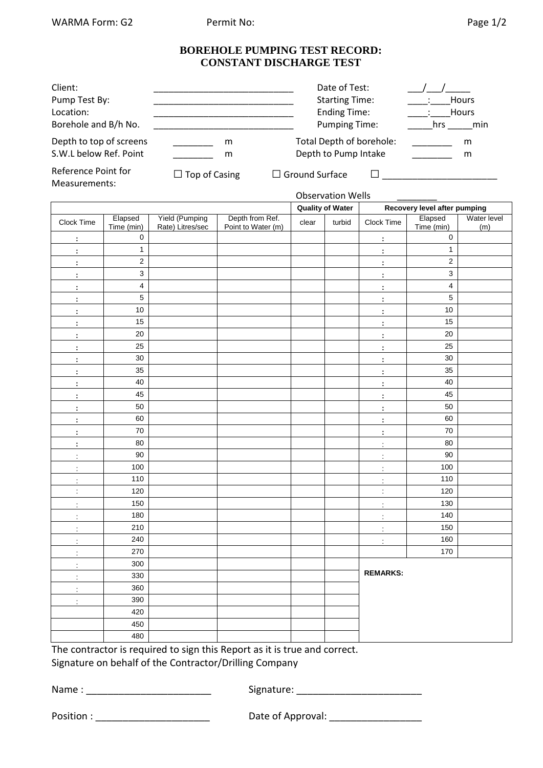Measurements:

### **BOREHOLE PUMPING TEST RECORD: CONSTANT DISCHARGE TEST**

| Client:                                                                   |                      | Date of Test:            | <b>Hours</b> |
|---------------------------------------------------------------------------|----------------------|--------------------------|--------------|
| Pump Test By:                                                             |                      | <b>Starting Time:</b>    | Hours        |
| Location:                                                                 |                      | <b>Ending Time:</b>      | hrs          |
| Borehole and B/h No.                                                      |                      | <b>Pumping Time:</b>     | min          |
| Depth to top of screens                                                   | m                    | Total Depth of borehole: | m            |
| S.W.L below Ref. Point                                                    | m                    | Depth to Pump Intake     | m            |
| Reference Point for<br><b>B</b> <i>B a a a</i> <b>b a a a a a a a a a</b> | $\Box$ Top of Casing | $\Box$ Ground Surface    |              |

### Observation Wells

|                      |                         |                                           |                                       |       | <b>Quality of Water</b> |                      | Recovery level after pumping |                    |  |
|----------------------|-------------------------|-------------------------------------------|---------------------------------------|-------|-------------------------|----------------------|------------------------------|--------------------|--|
| Clock Time           | Elapsed<br>Time (min)   | <b>Yield (Pumping</b><br>Rate) Litres/sec | Depth from Ref.<br>Point to Water (m) | clear | turbid                  | Clock Time           | Elapsed<br>Time (min)        | Water level<br>(m) |  |
| $\ddot{\phantom{a}}$ | $\pmb{0}$               |                                           |                                       |       |                         | ÷                    | $\mathbf 0$                  |                    |  |
| $\ddot{\phantom{a}}$ | $\mathbf 1$             |                                           |                                       |       |                         | ÷                    | $\mathbf{1}$                 |                    |  |
| $\ddot{\phantom{a}}$ | $\mathbf 2$             |                                           |                                       |       |                         | $\ddot{\phantom{a}}$ | $\mathbf{2}$                 |                    |  |
| $\ddot{\phantom{a}}$ | $\mathsf 3$             |                                           |                                       |       |                         | $\ddot{\phantom{a}}$ | 3                            |                    |  |
| ł,                   | $\overline{\mathbf{4}}$ |                                           |                                       |       |                         | ł,                   | 4                            |                    |  |
| ÷                    | $\sqrt{5}$              |                                           |                                       |       |                         | $\ddot{\phantom{a}}$ | 5                            |                    |  |
| ł,                   | 10                      |                                           |                                       |       |                         | $\ddot{\phantom{a}}$ | 10                           |                    |  |
| t                    | 15                      |                                           |                                       |       |                         | $\ddot{\phantom{a}}$ | 15                           |                    |  |
| t                    | 20                      |                                           |                                       |       |                         | $\ddot{\phantom{a}}$ | 20                           |                    |  |
| $\ddot{\phantom{a}}$ | 25                      |                                           |                                       |       |                         | $\ddot{\phantom{a}}$ | 25                           |                    |  |
| t                    | 30                      |                                           |                                       |       |                         | $\ddot{\phantom{a}}$ | 30                           |                    |  |
| þ                    | 35                      |                                           |                                       |       |                         | ÷                    | 35                           |                    |  |
| $\ddot{\phantom{a}}$ | 40                      |                                           |                                       |       |                         | ÷                    | 40                           |                    |  |
| $\ddot{\phantom{a}}$ | 45                      |                                           |                                       |       |                         | $\ddot{\phantom{a}}$ | 45                           |                    |  |
| $\ddot{\phantom{a}}$ | 50                      |                                           |                                       |       |                         | ÷                    | 50                           |                    |  |
| $\ddot{\phantom{a}}$ | 60                      |                                           |                                       |       |                         | $\ddot{\phantom{a}}$ | 60                           |                    |  |
| $\ddot{\phantom{a}}$ | 70                      |                                           |                                       |       |                         | ÷                    | 70                           |                    |  |
| t                    | 80                      |                                           |                                       |       |                         | $\ddot{\phantom{a}}$ | 80                           |                    |  |
| $\pm$                | 90                      |                                           |                                       |       |                         | $\ddot{\cdot}$       | 90                           |                    |  |
| $\ddot{\phantom{a}}$ | 100                     |                                           |                                       |       |                         | $\ddot{\phantom{a}}$ | 100                          |                    |  |
| $\ddot{\phantom{a}}$ | 110                     |                                           |                                       |       |                         | ÷,                   | 110                          |                    |  |
| $\ddot{\phantom{a}}$ | 120                     |                                           |                                       |       |                         | $\ddot{\phantom{a}}$ | 120                          |                    |  |
| $\ddot{\phantom{a}}$ | 150                     |                                           |                                       |       |                         | $\frac{1}{2}$        | 130                          |                    |  |
| $\ddot{\phantom{a}}$ | 180                     |                                           |                                       |       |                         | $\ddot{\phantom{a}}$ | 140                          |                    |  |
| $\ddot{\cdot}$       | 210                     |                                           |                                       |       |                         | $\ddot{\cdot}$       | 150                          |                    |  |
| $\ddot{\phantom{a}}$ | 240                     |                                           |                                       |       |                         | $\ddot{\phantom{a}}$ | 160                          |                    |  |
| $\ddot{\phantom{a}}$ | 270                     |                                           |                                       |       |                         |                      | 170                          |                    |  |
| $\ddot{\phantom{a}}$ | 300                     |                                           |                                       |       |                         |                      |                              |                    |  |
| $\ddot{\phantom{0}}$ | 330                     |                                           |                                       |       |                         | <b>REMARKS:</b>      |                              |                    |  |
| ÷                    | 360                     |                                           |                                       |       |                         |                      |                              |                    |  |
| ÷                    | 390                     |                                           |                                       |       |                         |                      |                              |                    |  |
|                      | 420                     |                                           |                                       |       |                         |                      |                              |                    |  |
|                      | 450                     |                                           |                                       |       |                         |                      |                              |                    |  |
|                      | 480                     |                                           |                                       |       |                         |                      |                              |                    |  |

The contractor is required to sign this Report as it is true and correct.

Signature on behalf of the Contractor/Drilling Company

Name : \_\_\_\_\_\_\_\_\_\_\_\_\_\_\_\_\_\_\_\_\_\_\_ Signature: \_\_\_\_\_\_\_\_\_\_\_\_\_\_\_\_\_\_\_\_\_\_\_

| Position : |  |  |  |
|------------|--|--|--|
|------------|--|--|--|

Position : \_\_\_\_\_\_\_\_\_\_\_\_\_\_\_\_\_\_\_\_\_ Date of Approval: \_\_\_\_\_\_\_\_\_\_\_\_\_\_\_\_\_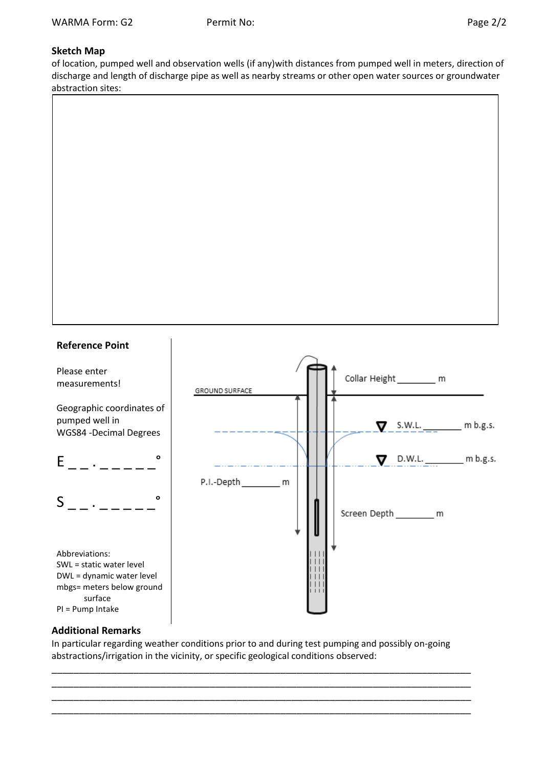# **Sketch Map**

of location, pumped well and observation wells (if any)with distances from pumped well in meters, direction of discharge and length of discharge pipe as well as nearby streams or other open water sources or groundwater abstraction sites:





## **Additional Remarks**

In particular regarding weather conditions prior to and during test pumping and possibly on-going abstractions/irrigation in the vicinity, or specific geological conditions observed:

\_\_\_\_\_\_\_\_\_\_\_\_\_\_\_\_\_\_\_\_\_\_\_\_\_\_\_\_\_\_\_\_\_\_\_\_\_\_\_\_\_\_\_\_\_\_\_\_\_\_\_\_\_\_\_\_\_\_\_\_\_\_\_\_\_\_\_\_\_\_\_\_\_\_\_\_\_ \_\_\_\_\_\_\_\_\_\_\_\_\_\_\_\_\_\_\_\_\_\_\_\_\_\_\_\_\_\_\_\_\_\_\_\_\_\_\_\_\_\_\_\_\_\_\_\_\_\_\_\_\_\_\_\_\_\_\_\_\_\_\_\_\_\_\_\_\_\_\_\_\_\_\_\_\_ \_\_\_\_\_\_\_\_\_\_\_\_\_\_\_\_\_\_\_\_\_\_\_\_\_\_\_\_\_\_\_\_\_\_\_\_\_\_\_\_\_\_\_\_\_\_\_\_\_\_\_\_\_\_\_\_\_\_\_\_\_\_\_\_\_\_\_\_\_\_\_\_\_\_\_\_\_ \_\_\_\_\_\_\_\_\_\_\_\_\_\_\_\_\_\_\_\_\_\_\_\_\_\_\_\_\_\_\_\_\_\_\_\_\_\_\_\_\_\_\_\_\_\_\_\_\_\_\_\_\_\_\_\_\_\_\_\_\_\_\_\_\_\_\_\_\_\_\_\_\_\_\_\_\_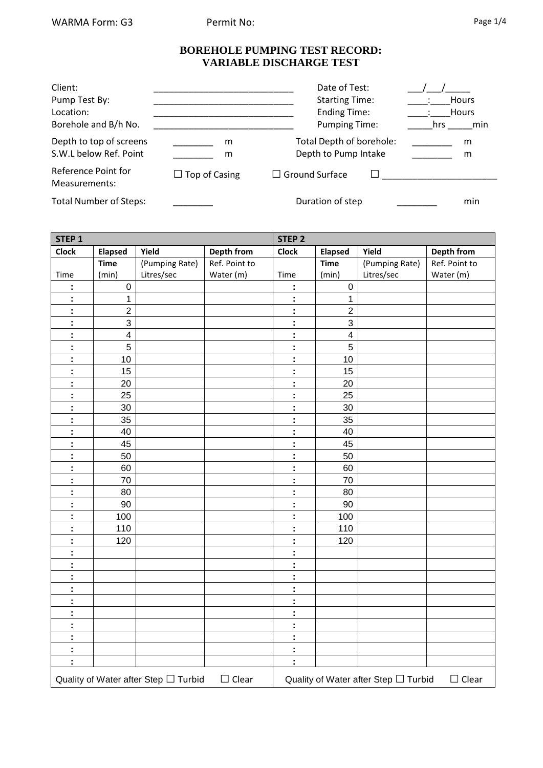### **BOREHOLE PUMPING TEST RECORD: VARIABLE DISCHARGE TEST**

| Client:                              |                      | Date of Test:            | <b>Hours</b> |
|--------------------------------------|----------------------|--------------------------|--------------|
| Pump Test By:                        |                      | <b>Starting Time:</b>    | <b>Hours</b> |
| Location:                            |                      | <b>Ending Time:</b>      | hrs          |
| Borehole and B/h No.                 |                      | <b>Pumping Time:</b>     | min          |
| Depth to top of screens              | m                    | Total Depth of borehole: | m            |
| S.W.L below Ref. Point               | m                    | Depth to Pump Intake     | m            |
| Reference Point for<br>Measurements: | $\Box$ Top of Casing | $\Box$ Ground Surface    |              |
| <b>Total Number of Steps:</b>        |                      | Duration of step         | min          |

| STEP <sub>1</sub> |                         |                                      | <b>STEP 2</b>     |                      |                           |                                      |                   |  |
|-------------------|-------------------------|--------------------------------------|-------------------|----------------------|---------------------------|--------------------------------------|-------------------|--|
| <b>Clock</b>      | <b>Elapsed</b>          | Yield                                | <b>Depth from</b> | <b>Clock</b>         | <b>Elapsed</b>            | Yield                                | <b>Depth from</b> |  |
|                   | <b>Time</b>             | (Pumping Rate)                       | Ref. Point to     |                      | <b>Time</b>               | (Pumping Rate)                       | Ref. Point to     |  |
| Time              | (min)                   | Litres/sec                           | Water (m)         | Time                 | (min)                     | Litres/sec                           | Water (m)         |  |
| Ì,                | $\mathbf 0$             |                                      |                   | t,                   | $\boldsymbol{0}$          |                                      |                   |  |
| ÷                 | 1                       |                                      |                   | t,                   | 1                         |                                      |                   |  |
| Ì,                | $\overline{2}$          |                                      |                   | t,                   | $\overline{2}$            |                                      |                   |  |
| Ì,                | $\mathbf{3}$            |                                      |                   | t,                   | $\ensuremath{\mathsf{3}}$ |                                      |                   |  |
| t                 | $\overline{\mathbf{4}}$ |                                      |                   | t,                   | $\overline{\mathbf{4}}$   |                                      |                   |  |
| Ì                 | 5                       |                                      |                   | t,                   | 5                         |                                      |                   |  |
| t                 | 10                      |                                      |                   | t,                   | 10                        |                                      |                   |  |
| t                 | 15                      |                                      |                   | t,                   | 15                        |                                      |                   |  |
| Ì                 | 20                      |                                      |                   | t,                   | 20                        |                                      |                   |  |
| t                 | 25                      |                                      |                   | t,                   | 25                        |                                      |                   |  |
| t,                | 30                      |                                      |                   | t,                   | 30                        |                                      |                   |  |
| t                 | 35                      |                                      |                   | t,                   | 35                        |                                      |                   |  |
| t                 | 40                      |                                      |                   | t,                   | 40                        |                                      |                   |  |
| t                 | 45                      |                                      |                   | t,                   | 45                        |                                      |                   |  |
| t                 | 50                      |                                      |                   | t,                   | 50                        |                                      |                   |  |
| t                 | 60                      |                                      |                   | t,                   | 60                        |                                      |                   |  |
| t                 | 70                      |                                      |                   | t,                   | 70                        |                                      |                   |  |
| t                 | 80                      |                                      |                   | t,                   | 80                        |                                      |                   |  |
| t,                | 90                      |                                      |                   | Ì,                   | 90                        |                                      |                   |  |
| t                 | 100                     |                                      |                   | t,                   | 100                       |                                      |                   |  |
| t,                | 110                     |                                      |                   | t,                   | 110                       |                                      |                   |  |
| t                 | 120                     |                                      |                   | $\ddot{\phantom{a}}$ | 120                       |                                      |                   |  |
| t                 |                         |                                      |                   | t,                   |                           |                                      |                   |  |
| t,                |                         |                                      |                   | t                    |                           |                                      |                   |  |
| Ì,                |                         |                                      |                   | $\ddot{\phantom{a}}$ |                           |                                      |                   |  |
| t                 |                         |                                      |                   | t,                   |                           |                                      |                   |  |
| t                 |                         |                                      |                   | $\ddot{\phantom{a}}$ |                           |                                      |                   |  |
| Ì,                |                         |                                      |                   | t,                   |                           |                                      |                   |  |
| Ì,                |                         |                                      |                   | $\ddot{\phantom{a}}$ |                           |                                      |                   |  |
| Ì,                |                         |                                      |                   | ÷                    |                           |                                      |                   |  |
| Ì,                |                         |                                      |                   | t,                   |                           |                                      |                   |  |
| ċ,                |                         |                                      |                   | ÷                    |                           |                                      |                   |  |
|                   |                         | Quality of Water after Step □ Turbid | $\Box$ Clear      |                      |                           | Quality of Water after Step □ Turbid | $\Box$ Clear      |  |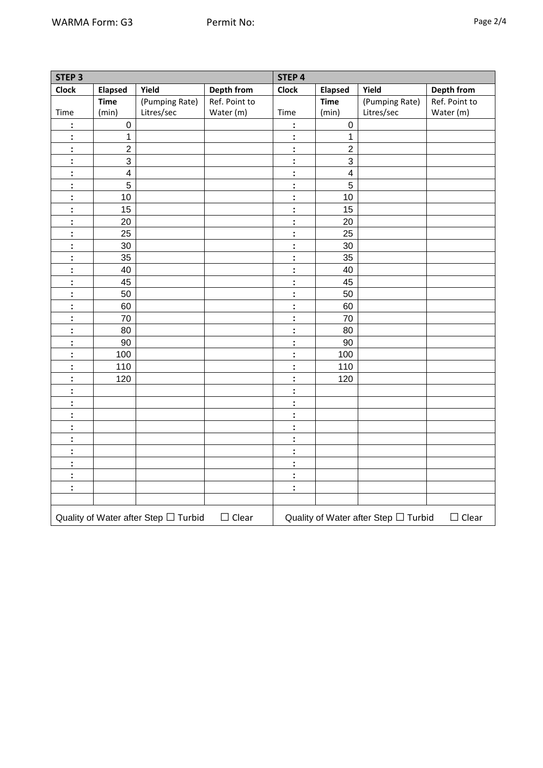| ≏<br>79 P | 1 |
|-----------|---|
|-----------|---|

| STEP <sub>3</sub> |                         |                                      |               | STEP 4       |                         |                                      |               |  |  |
|-------------------|-------------------------|--------------------------------------|---------------|--------------|-------------------------|--------------------------------------|---------------|--|--|
| <b>Clock</b>      | Elapsed                 | Yield                                | Depth from    | <b>Clock</b> | <b>Elapsed</b>          | Yield                                | Depth from    |  |  |
|                   | <b>Time</b>             | (Pumping Rate)                       | Ref. Point to |              | <b>Time</b>             | (Pumping Rate)                       | Ref. Point to |  |  |
| Time              | (min)                   | Litres/sec                           | Water (m)     | Time         | (min)                   | Litres/sec                           | Water (m)     |  |  |
| t                 | $\pmb{0}$               |                                      |               | t            | $\pmb{0}$               |                                      |               |  |  |
| t                 | $\mathbf{1}$            |                                      |               | Ì,           | 1                       |                                      |               |  |  |
| ł                 | $\overline{2}$          |                                      |               | Ì,           | $\overline{2}$          |                                      |               |  |  |
| ł                 | $\mathbf{3}$            |                                      |               | :            | 3                       |                                      |               |  |  |
| t                 | $\overline{\mathbf{4}}$ |                                      |               | t            | $\overline{\mathbf{4}}$ |                                      |               |  |  |
| t                 | $\overline{5}$          |                                      |               | t            | $\overline{5}$          |                                      |               |  |  |
| t                 | 10                      |                                      |               | t            | 10                      |                                      |               |  |  |
| ÷                 | 15                      |                                      |               | ÷            | 15                      |                                      |               |  |  |
| t                 | 20                      |                                      |               | t            | 20                      |                                      |               |  |  |
| ł                 | 25                      |                                      |               | ŀ            | 25                      |                                      |               |  |  |
| ł                 | 30                      |                                      |               | ŀ            | 30                      |                                      |               |  |  |
| Ì,                | 35                      |                                      |               | ŀ            | 35                      |                                      |               |  |  |
| ċ                 | 40                      |                                      |               | ċ            | 40                      |                                      |               |  |  |
| Ì,                | 45                      |                                      |               | t            | 45                      |                                      |               |  |  |
| Ì,                | 50                      |                                      |               | ÷            | 50                      |                                      |               |  |  |
| ÷                 | 60                      |                                      |               | t            | 60                      |                                      |               |  |  |
| Ì,                | 70                      |                                      |               | t            | 70                      |                                      |               |  |  |
| Ì,                | 80                      |                                      |               | Ì,           | 80                      |                                      |               |  |  |
| Ì,                | 90                      |                                      |               | Ì,           | 90                      |                                      |               |  |  |
| Ì                 | 100                     |                                      |               | Ì            | 100                     |                                      |               |  |  |
| t                 | 110                     |                                      |               | t            | 110                     |                                      |               |  |  |
| Ì                 | 120                     |                                      |               | Ì            | 120                     |                                      |               |  |  |
| t,                |                         |                                      |               | ÷            |                         |                                      |               |  |  |
| t,                |                         |                                      |               | ÷            |                         |                                      |               |  |  |
| t                 |                         |                                      |               | t            |                         |                                      |               |  |  |
| t                 |                         |                                      |               | t            |                         |                                      |               |  |  |
| Ì                 |                         |                                      |               | t            |                         |                                      |               |  |  |
| Ì                 |                         |                                      |               | ċ            |                         |                                      |               |  |  |
| Ì,                |                         |                                      |               | Ì,           |                         |                                      |               |  |  |
| Ì,                |                         |                                      |               | Ì,           |                         |                                      |               |  |  |
| Ì,                |                         |                                      |               | Ì,           |                         |                                      |               |  |  |
|                   |                         |                                      |               |              |                         |                                      |               |  |  |
|                   |                         | Quality of Water after Step □ Turbid | $\Box$ Clear  |              |                         | Quality of Water after Step □ Turbid | $\Box$ Clear  |  |  |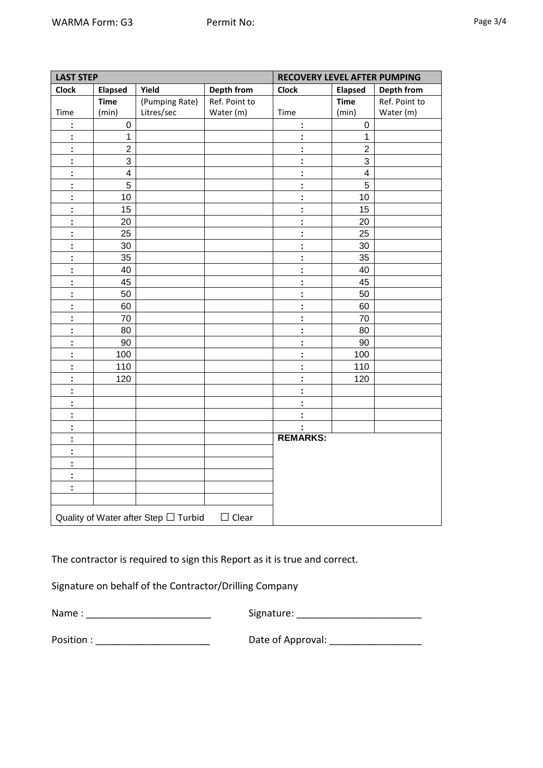| <b>LAST STEP</b>     |                 |                                      |                   |                      | <b>RECOVERY LEVEL AFTER PUMPING</b> |               |
|----------------------|-----------------|--------------------------------------|-------------------|----------------------|-------------------------------------|---------------|
| Clock                | <b>Elapsed</b>  | Yield                                | <b>Depth from</b> | <b>Clock</b>         | <b>Elapsed</b>                      | Depth from    |
|                      | <b>Time</b>     | (Pumping Rate)                       | Ref. Point to     |                      | <b>Time</b>                         | Ref. Point to |
| Time                 | (min)           | Litres/sec                           | Water (m)         | Time                 | (min)                               | Water (m)     |
| $\ddot{\phantom{a}}$ | $\mathbf 0$     |                                      |                   | ÷                    | $\boldsymbol{0}$                    |               |
| $\ddot{\phantom{a}}$ | $\mathbf{1}$    |                                      |                   | ÷                    | $\mathbf{1}$                        |               |
| $\ddot{\phantom{a}}$ | $\overline{2}$  |                                      |                   | ÷                    | $\overline{2}$                      |               |
| $\ddot{\phantom{a}}$ | $\mathbf{3}$    |                                      |                   | ÷                    | $\mathbf{3}$                        |               |
| $\ddot{\phantom{a}}$ | $\overline{4}$  |                                      |                   | ÷                    | $\overline{4}$                      |               |
| $\ddot{\phantom{a}}$ | $5\overline{)}$ |                                      |                   | ÷                    | 5                                   |               |
| ÷                    | $10$            |                                      |                   | ÷                    | 10 <sup>°</sup>                     |               |
| $\ddot{\phantom{a}}$ | 15              |                                      |                   | ÷                    | 15                                  |               |
| $\mathbb{C}$         | 20              |                                      |                   | $\mathbf{r}$         | 20                                  |               |
| $\ddot{\phantom{a}}$ | 25              |                                      |                   | ÷                    | 25                                  |               |
| $\ddot{\phantom{a}}$ | $30\,$          |                                      |                   | ÷                    | 30                                  |               |
| $\ddot{\phantom{a}}$ | 35              |                                      |                   | $\ddot{\phantom{a}}$ | 35                                  |               |
| $\ddot{\phantom{a}}$ | 40              |                                      |                   | ÷                    | 40                                  |               |
| $\ddot{\phantom{a}}$ | 45              |                                      |                   | $\ddot{\phantom{a}}$ | 45                                  |               |
| $\ddot{\phantom{a}}$ | 50              |                                      |                   | ÷                    | 50                                  |               |
| $\overline{1}$       | 60              |                                      |                   | $\ddot{\phantom{a}}$ | 60                                  |               |
| $\ddot{\phantom{a}}$ | 70              |                                      |                   | ÷                    | 70                                  |               |
| $\ddot{\phantom{a}}$ | 80              |                                      |                   | $\mathbf{r}$         | 80                                  |               |
| $\mathbb{C}^2$       | 90              |                                      |                   | ÷                    | 90                                  |               |
| $\ddot{\phantom{a}}$ | 100             |                                      |                   | $\ddot{\phantom{a}}$ | 100                                 |               |
| $\ddot{\phantom{a}}$ | 110             |                                      |                   | ÷                    | 110                                 |               |
| $\ddot{\phantom{a}}$ | 120             |                                      |                   | ÷.                   | 120                                 |               |
| $\ddot{\phantom{a}}$ |                 |                                      |                   | $\ddot{\phantom{a}}$ |                                     |               |
| $\ddot{\phantom{a}}$ |                 |                                      |                   | ÷                    |                                     |               |
| $\ddot{\phantom{a}}$ |                 |                                      |                   | $\ddot{\phantom{a}}$ |                                     |               |
| $\ddot{\phantom{a}}$ |                 |                                      |                   | ÷                    |                                     |               |
| $\ddot{\phantom{a}}$ |                 |                                      |                   | <b>REMARKS:</b>      |                                     |               |
| $\ddot{\phantom{a}}$ |                 |                                      |                   |                      |                                     |               |
|                      |                 |                                      |                   |                      |                                     |               |
| $\ddot{\phantom{a}}$ |                 |                                      |                   |                      |                                     |               |
| $\ddot{\phantom{a}}$ |                 |                                      |                   |                      |                                     |               |
| ÷                    |                 |                                      |                   |                      |                                     |               |
|                      |                 |                                      |                   |                      |                                     |               |
|                      |                 | Quality of Water after Step □ Turbid | $\Box$ Clear      |                      |                                     |               |

The contractor is required to sign this Report as it is true and correct.

Signature on behalf of the Contractor/Drilling Company

Name : \_\_\_\_\_\_\_\_\_\_\_\_\_\_\_\_\_\_\_\_\_\_\_ Signature: \_\_\_\_\_\_\_\_\_\_\_\_\_\_\_\_\_\_\_\_\_\_\_

Position : \_\_\_\_\_\_\_\_\_\_\_\_\_\_\_\_\_\_\_\_\_ Date of Approval: \_\_\_\_\_\_\_\_\_\_\_\_\_\_\_\_\_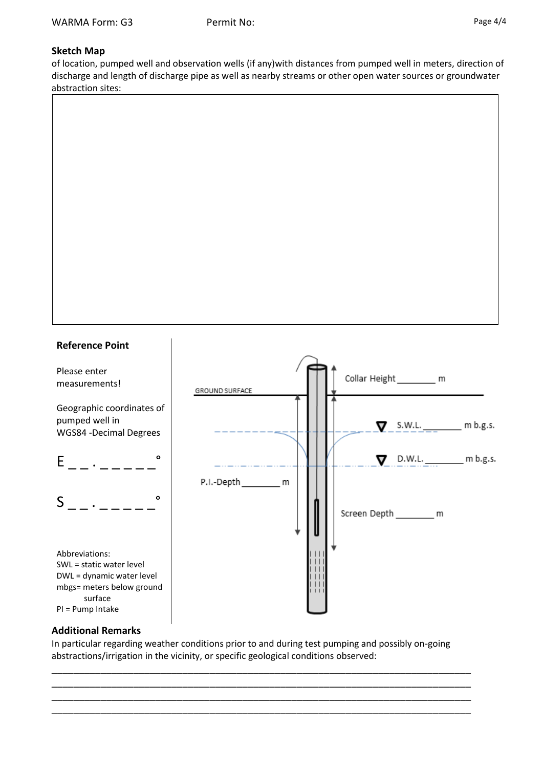### **Sketch Map**

of location, pumped well and observation wells (if any)with distances from pumped well in meters, direction of discharge and length of discharge pipe as well as nearby streams or other open water sources or groundwater abstraction sites:





### **Additional Remarks**

In particular regarding weather conditions prior to and during test pumping and possibly on-going abstractions/irrigation in the vicinity, or specific geological conditions observed:

\_\_\_\_\_\_\_\_\_\_\_\_\_\_\_\_\_\_\_\_\_\_\_\_\_\_\_\_\_\_\_\_\_\_\_\_\_\_\_\_\_\_\_\_\_\_\_\_\_\_\_\_\_\_\_\_\_\_\_\_\_\_\_\_\_\_\_\_\_\_\_\_\_\_\_\_\_ \_\_\_\_\_\_\_\_\_\_\_\_\_\_\_\_\_\_\_\_\_\_\_\_\_\_\_\_\_\_\_\_\_\_\_\_\_\_\_\_\_\_\_\_\_\_\_\_\_\_\_\_\_\_\_\_\_\_\_\_\_\_\_\_\_\_\_\_\_\_\_\_\_\_\_\_\_ \_\_\_\_\_\_\_\_\_\_\_\_\_\_\_\_\_\_\_\_\_\_\_\_\_\_\_\_\_\_\_\_\_\_\_\_\_\_\_\_\_\_\_\_\_\_\_\_\_\_\_\_\_\_\_\_\_\_\_\_\_\_\_\_\_\_\_\_\_\_\_\_\_\_\_\_\_ \_\_\_\_\_\_\_\_\_\_\_\_\_\_\_\_\_\_\_\_\_\_\_\_\_\_\_\_\_\_\_\_\_\_\_\_\_\_\_\_\_\_\_\_\_\_\_\_\_\_\_\_\_\_\_\_\_\_\_\_\_\_\_\_\_\_\_\_\_\_\_\_\_\_\_\_\_